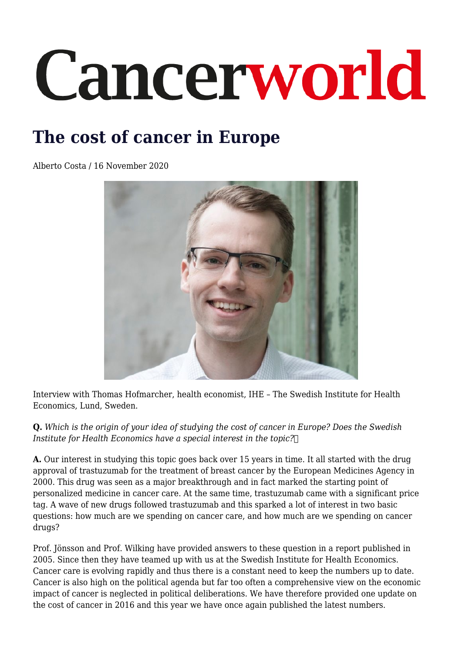# Cancerworld

## **The cost of cancer in Europe**

Alberto Costa / 16 November 2020



Interview with Thomas Hofmarcher, health economist, IHE – The Swedish Institute for Health Economics, Lund, Sweden.

**Q.** *Which is the origin of your idea of studying the cost of cancer in Europe? Does the Swedish Institute for Health Economics have a special interest in the topic?* 

**A.** Our interest in studying this topic goes back over 15 years in time. It all started with the drug approval of trastuzumab for the treatment of breast cancer by the European Medicines Agency in 2000. This drug was seen as a major breakthrough and in fact marked the starting point of personalized medicine in cancer care. At the same time, trastuzumab came with a significant price tag. A wave of new drugs followed trastuzumab and this sparked a lot of interest in two basic questions: how much are we spending on cancer care, and how much are we spending on cancer drugs?

Prof. Jönsson and Prof. Wilking have provided answers to these question in a report published in 2005. Since then they have teamed up with us at the Swedish Institute for Health Economics. Cancer care is evolving rapidly and thus there is a constant need to keep the numbers up to date. Cancer is also high on the political agenda but far too often a comprehensive view on the economic impact of cancer is neglected in political deliberations. We have therefore provided one update on the cost of cancer in 2016 and this year we have once again published the latest numbers.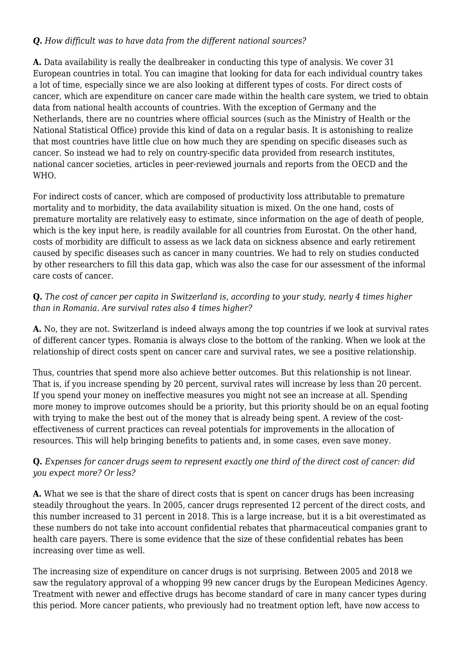### *Q. How difficult was to have data from the different national sources?*

**A.** Data availability is really the dealbreaker in conducting this type of analysis. We cover 31 European countries in total. You can imagine that looking for data for each individual country takes a lot of time, especially since we are also looking at different types of costs. For direct costs of cancer, which are expenditure on cancer care made within the health care system, we tried to obtain data from national health accounts of countries. With the exception of Germany and the Netherlands, there are no countries where official sources (such as the Ministry of Health or the National Statistical Office) provide this kind of data on a regular basis. It is astonishing to realize that most countries have little clue on how much they are spending on specific diseases such as cancer. So instead we had to rely on country-specific data provided from research institutes, national cancer societies, articles in peer-reviewed journals and reports from the OECD and the W<sub>H</sub>O.

For indirect costs of cancer, which are composed of productivity loss attributable to premature mortality and to morbidity, the data availability situation is mixed. On the one hand, costs of premature mortality are relatively easy to estimate, since information on the age of death of people, which is the key input here, is readily available for all countries from Eurostat. On the other hand, costs of morbidity are difficult to assess as we lack data on sickness absence and early retirement caused by specific diseases such as cancer in many countries. We had to rely on studies conducted by other researchers to fill this data gap, which was also the case for our assessment of the informal care costs of cancer.

#### **Q.** *The cost of cancer per capita in Switzerland is, according to your study, nearly 4 times higher than in Romania. Are survival rates also 4 times higher?*

**A.** No, they are not. Switzerland is indeed always among the top countries if we look at survival rates of different cancer types. Romania is always close to the bottom of the ranking. When we look at the relationship of direct costs spent on cancer care and survival rates, we see a positive relationship.

Thus, countries that spend more also achieve better outcomes. But this relationship is not linear. That is, if you increase spending by 20 percent, survival rates will increase by less than 20 percent. If you spend your money on ineffective measures you might not see an increase at all. Spending more money to improve outcomes should be a priority, but this priority should be on an equal footing with trying to make the best out of the money that is already being spent. A review of the costeffectiveness of current practices can reveal potentials for improvements in the allocation of resources. This will help bringing benefits to patients and, in some cases, even save money.

### **Q.** *Expenses for cancer drugs seem to represent exactly one third of the direct cost of cancer: did you expect more? Or less?*

**A.** What we see is that the share of direct costs that is spent on cancer drugs has been increasing steadily throughout the years. In 2005, cancer drugs represented 12 percent of the direct costs, and this number increased to 31 percent in 2018. This is a large increase, but it is a bit overestimated as these numbers do not take into account confidential rebates that pharmaceutical companies grant to health care payers. There is some evidence that the size of these confidential rebates has been increasing over time as well.

The increasing size of expenditure on cancer drugs is not surprising. Between 2005 and 2018 we saw the regulatory approval of a whopping 99 new cancer drugs by the European Medicines Agency. Treatment with newer and effective drugs has become standard of care in many cancer types during this period. More cancer patients, who previously had no treatment option left, have now access to